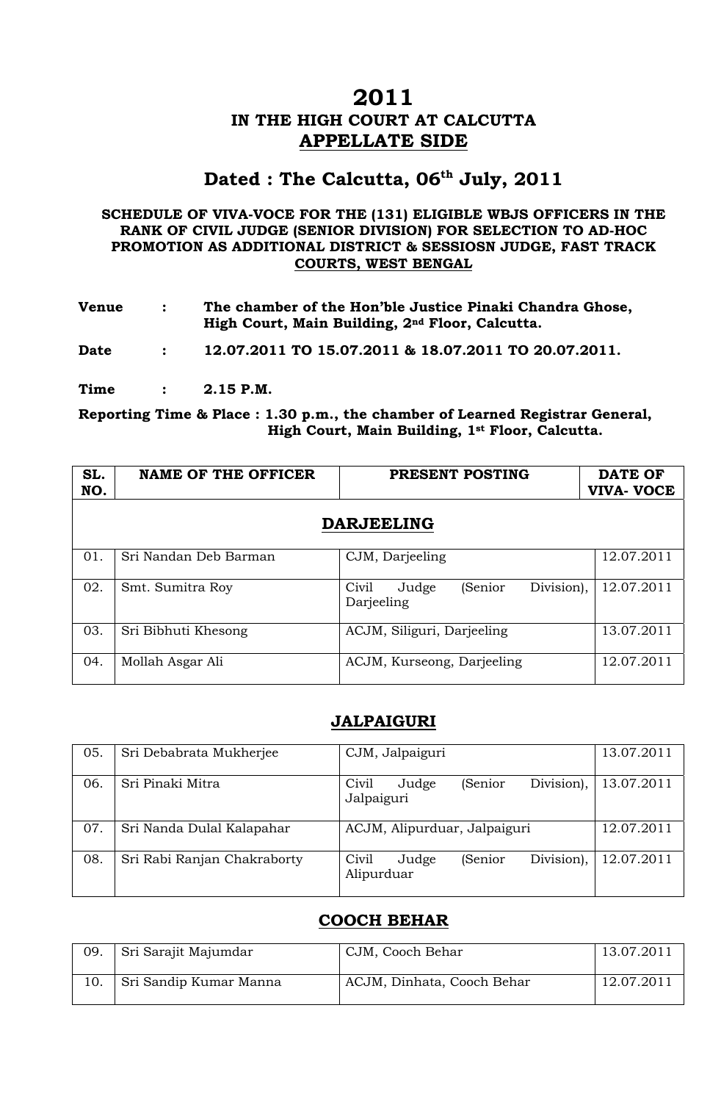### **2011 IN THE HIGH COURT AT CALCUTTA APPELLATE SIDE**

### Dated : The Calcutta, 06<sup>th</sup> July, 2011

#### **SCHEDULE OF VIVA-VOCE FOR THE (131) ELIGIBLE WBJS OFFICERS IN THE RANK OF CIVIL JUDGE (SENIOR DIVISION) FOR SELECTION TO AD-HOC PROMOTION AS ADDITIONAL DISTRICT & SESSIOSN JUDGE, FAST TRACK COURTS, WEST BENGAL**

| <b>Venue</b> | The chamber of the Hon'ble Justice Pinaki Chandra Ghose,<br>High Court, Main Building, 2 <sup>nd</sup> Floor, Calcutta. |
|--------------|-------------------------------------------------------------------------------------------------------------------------|
|              |                                                                                                                         |

**Date : 12.07.2011 TO 15.07.2011 & 18.07.2011 TO 20.07.2011.** 

**Time : 2.15 P.M.** 

**Reporting Time & Place : 1.30 p.m., the chamber of Learned Registrar General, High Court, Main Building, 1st Floor, Calcutta.** 

| SL.<br>NO. | <b>NAME OF THE OFFICER</b> | PRESENT POSTING                                       | <b>DATE OF</b><br><b>VIVA- VOCE</b> |
|------------|----------------------------|-------------------------------------------------------|-------------------------------------|
|            |                            | <b>DARJEELING</b>                                     |                                     |
| 01.        | Sri Nandan Deb Barman      | CJM, Darjeeling                                       | 12.07.2011                          |
| 02.        | Smt. Sumitra Roy           | Division),<br>(Senior<br>Judge<br>Civil<br>Darjeeling | 12.07.2011                          |
| 03.        | Sri Bibhuti Khesong        | ACJM, Siliguri, Darjeeling                            | 13.07.2011                          |
| 04.        | Mollah Asgar Ali           | ACJM, Kurseong, Darjeeling                            | 12.07.2011                          |

#### **JALPAIGURI**

| 05. | Sri Debabrata Mukherjee     | CJM, Jalpaiguri                                       | 13.07.2011 |
|-----|-----------------------------|-------------------------------------------------------|------------|
| 06. | Sri Pinaki Mitra            | Division),<br>(Senior<br>Civil<br>Judge<br>Jalpaiguri | 13.07.2011 |
| 07. | Sri Nanda Dulal Kalapahar   | ACJM, Alipurduar, Jalpaiguri                          | 12.07.2011 |
| 08. | Sri Rabi Ranjan Chakraborty | Division),<br>Civil<br>(Senior<br>Judge<br>Alipurduar | 12.07.2011 |

#### **COOCH BEHAR**

| 09. | Sri Sarajit Majumdar   | CJM, Cooch Behar           | 13.07.2011 |
|-----|------------------------|----------------------------|------------|
|     | Sri Sandip Kumar Manna | ACJM, Dinhata, Cooch Behar | 12.07.2011 |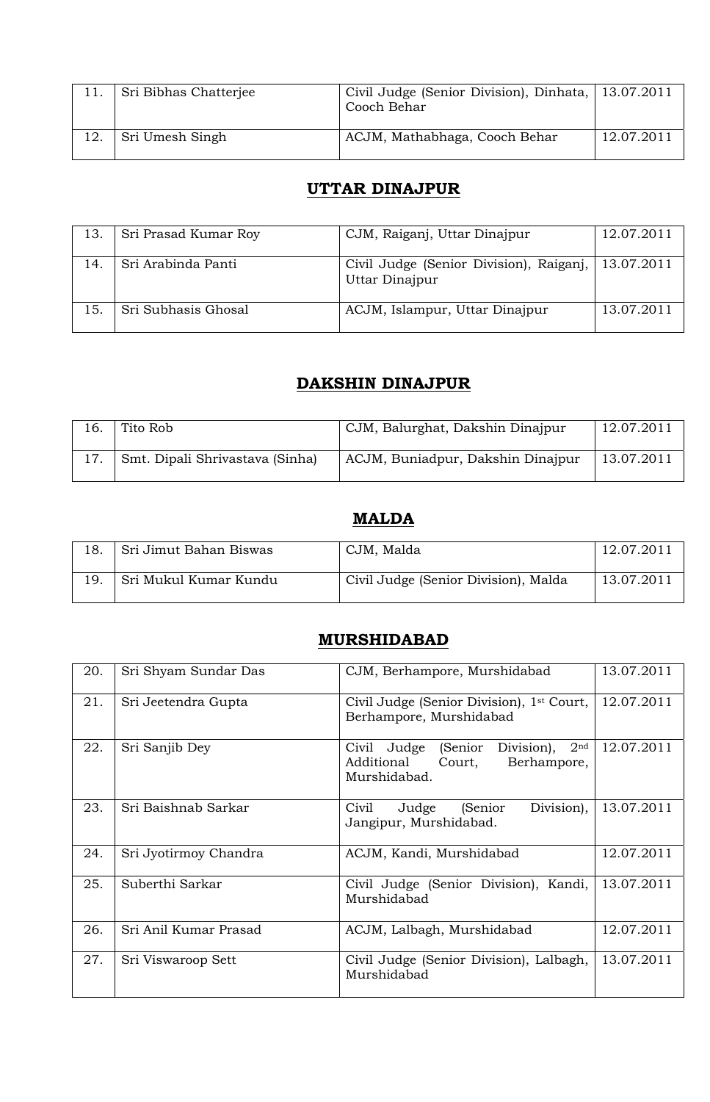|     | Sri Bibhas Chatterjee | Civil Judge (Senior Division), Dinhata, 13.07.2011<br>Cooch Behar |            |
|-----|-----------------------|-------------------------------------------------------------------|------------|
| 12. | Sri Umesh Singh       | ACJM, Mathabhaga, Cooch Behar                                     | 12.07.2011 |

# **UTTAR DINAJPUR**

| 13. | Sri Prasad Kumar Roy | CJM, Raiganj, Uttar Dinajpur                              | 12.07.2011 |
|-----|----------------------|-----------------------------------------------------------|------------|
| 14. | Sri Arabinda Panti   | Civil Judge (Senior Division), Raiganj,<br>Uttar Dinajpur | 13.07.2011 |
| 15. | Sri Subhasis Ghosal  | ACJM, Islampur, Uttar Dinajpur                            | 13.07.2011 |

#### **DAKSHIN DINAJPUR**

| 16. | Tito Rob                        | CJM, Balurghat, Dakshin Dinajpur  | 12.07.2011 |
|-----|---------------------------------|-----------------------------------|------------|
|     | Smt. Dipali Shrivastava (Sinha) | ACJM, Buniadpur, Dakshin Dinajpur | 13.07.2011 |

# **MALDA**

| Sri Jimut Bahan Biswas | CJM, Malda                           | 12.07.2011 |
|------------------------|--------------------------------------|------------|
| Sri Mukul Kumar Kundu  | Civil Judge (Senior Division), Malda | 13.07.2011 |

# **MURSHIDABAD**

| 20. | Sri Shyam Sundar Das  | CJM, Berhampore, Murshidabad                                                                                       | 13.07.2011 |
|-----|-----------------------|--------------------------------------------------------------------------------------------------------------------|------------|
| 21. | Sri Jeetendra Gupta   | Civil Judge (Senior Division), 1 <sup>st</sup> Court,<br>Berhampore, Murshidabad                                   | 12.07.2011 |
| 22. | Sri Sanjib Dey        | 2 <sup>nd</sup><br>Division),<br>(Senior)<br>Judge<br>Civil<br>Additional<br>Berhampore,<br>Court,<br>Murshidabad. | 12.07.2011 |
| 23. | Sri Baishnab Sarkar   | Judge<br>(Senior<br>Civil<br>Division),<br>Jangipur, Murshidabad.                                                  | 13.07.2011 |
| 24. | Sri Jyotirmoy Chandra | ACJM, Kandi, Murshidabad                                                                                           | 12.07.2011 |
| 25. | Suberthi Sarkar       | Civil Judge (Senior Division), Kandi,<br>Murshidabad                                                               | 13.07.2011 |
| 26. | Sri Anil Kumar Prasad | ACJM, Lalbagh, Murshidabad                                                                                         | 12.07.2011 |
| 27. | Sri Viswaroop Sett    | Civil Judge (Senior Division), Lalbagh,<br>Murshidabad                                                             | 13.07.2011 |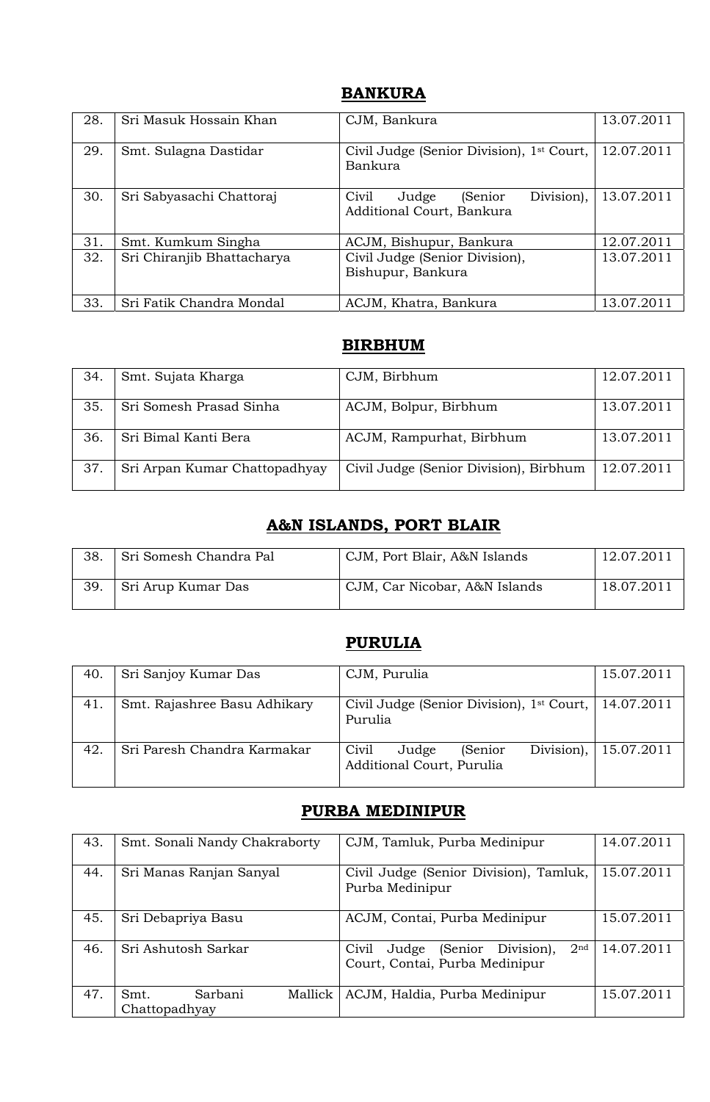#### **BANKURA**

| 28. | Sri Masuk Hossain Khan     | CJM, Bankura                                                         | 13.07.2011 |
|-----|----------------------------|----------------------------------------------------------------------|------------|
| 29. | Smt. Sulagna Dastidar      | Civil Judge (Senior Division), 1 <sup>st</sup> Court,<br>Bankura     | 12.07.2011 |
| 30. | Sri Sabyasachi Chattoraj   | Division),<br>Civil<br>Judge<br>(Senior<br>Additional Court, Bankura | 13.07.2011 |
| 31. | Smt. Kumkum Singha         | ACJM, Bishupur, Bankura                                              | 12.07.2011 |
| 32. | Sri Chiranjib Bhattacharya | Civil Judge (Senior Division),<br>Bishupur, Bankura                  | 13.07.2011 |
| 33. | Sri Fatik Chandra Mondal   | ACJM, Khatra, Bankura                                                | 13.07.2011 |

#### **BIRBHUM**

| 34. | Smt. Sujata Kharga            | CJM, Birbhum                           | 12.07.2011 |
|-----|-------------------------------|----------------------------------------|------------|
| 35. | Sri Somesh Prasad Sinha       | ACJM, Bolpur, Birbhum                  | 13.07.2011 |
| 36. | Sri Bimal Kanti Bera          | ACJM, Rampurhat, Birbhum               | 13.07.2011 |
| 37. | Sri Arpan Kumar Chattopadhyay | Civil Judge (Senior Division), Birbhum | 12.07.2011 |

# **A&N ISLANDS, PORT BLAIR**

| 38. | Sri Somesh Chandra Pal | CJM, Port Blair, A&N Islands  | 12.07.2011 |
|-----|------------------------|-------------------------------|------------|
| 39. | Sri Arup Kumar Das     | CJM, Car Nicobar, A&N Islands | 18.07.2011 |

# **PURULIA**

| 40. | Sri Sanjoy Kumar Das         | CJM, Purulia                                                                  | 15.07.2011 |
|-----|------------------------------|-------------------------------------------------------------------------------|------------|
| 41. | Smt. Rajashree Basu Adhikary | Civil Judge (Senior Division), 1 <sup>st</sup> Court,   14.07.2011<br>Purulia |            |
| 42. | Sri Paresh Chandra Karmakar  | Division),<br>Civil<br>(Senior)<br>Judge<br>Additional Court, Purulia         | 15.07.2011 |

### **PURBA MEDINIPUR**

| 43. | Smt. Sonali Nandy Chakraborty               | CJM, Tamluk, Purba Medinipur                                                              | 14.07.2011 |
|-----|---------------------------------------------|-------------------------------------------------------------------------------------------|------------|
| 44. | Sri Manas Ranjan Sanyal                     | Civil Judge (Senior Division), Tamluk,<br>Purba Medinipur                                 | 15.07.2011 |
| 45. | Sri Debapriya Basu                          | ACJM, Contai, Purba Medinipur                                                             | 15.07.2011 |
| 46. | Sri Ashutosh Sarkar                         | 2 <sub>nd</sub><br>(Senior Division),<br>Judge<br>Civil<br>Court, Contai, Purba Medinipur | 14.07.2011 |
| 47. | Sarbani<br>Mallick<br>Smt.<br>Chattopadhyay | ACJM, Haldia, Purba Medinipur                                                             | 15.07.2011 |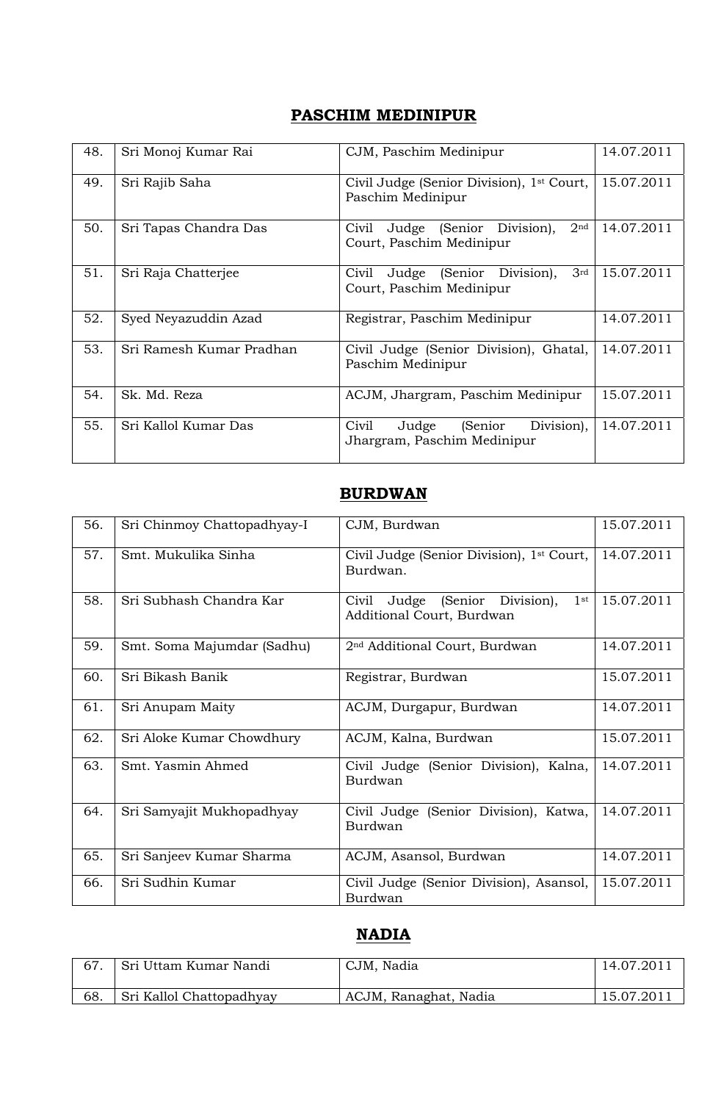#### **PASCHIM MEDINIPUR**

| 48. | Sri Monoj Kumar Rai      | CJM, Paschim Medinipur                                                                 | 14.07.2011 |
|-----|--------------------------|----------------------------------------------------------------------------------------|------------|
| 49. | Sri Rajib Saha           | Civil Judge (Senior Division), 1 <sup>st</sup> Court,<br>Paschim Medinipur             | 15.07.2011 |
| 50. | Sri Tapas Chandra Das    | Division),<br>2 <sub>nd</sub><br>(Senior<br>Civil<br>Judge<br>Court, Paschim Medinipur | 14.07.2011 |
| 51. | Sri Raja Chatterjee      | 3 <sup>rd</sup><br>Judge (Senior Division),<br>Civil<br>Court, Paschim Medinipur       | 15.07.2011 |
| 52. | Syed Neyazuddin Azad     | Registrar, Paschim Medinipur                                                           | 14.07.2011 |
| 53. | Sri Ramesh Kumar Pradhan | Civil Judge (Senior Division), Ghatal,<br>Paschim Medinipur                            | 14.07.2011 |
| 54. | Sk. Md. Reza             | ACJM, Jhargram, Paschim Medinipur                                                      | 15.07.2011 |
| 55. | Sri Kallol Kumar Das     | Division),<br>(Senior)<br>Civil<br>Judge<br>Jhargram, Paschim Medinipur                | 14.07.2011 |

#### **BURDWAN**

| 56. | Sri Chinmoy Chattopadhyay-I | CJM, Burdwan                                                             | 15.07.2011 |
|-----|-----------------------------|--------------------------------------------------------------------------|------------|
| 57. | Smt. Mukulika Sinha         | Civil Judge (Senior Division), 1 <sup>st</sup> Court,<br>Burdwan.        | 14.07.2011 |
| 58. | Sri Subhash Chandra Kar     | Judge (Senior Division),<br>$1$ st<br>Civil<br>Additional Court, Burdwan | 15.07.2011 |
| 59. | Smt. Soma Majumdar (Sadhu)  | 2 <sup>nd</sup> Additional Court, Burdwan                                | 14.07.2011 |
| 60. | Sri Bikash Banik            | Registrar, Burdwan                                                       | 15.07.2011 |
| 61. | Sri Anupam Maity            | ACJM, Durgapur, Burdwan                                                  | 14.07.2011 |
| 62. | Sri Aloke Kumar Chowdhury   | ACJM, Kalna, Burdwan                                                     | 15.07.2011 |
| 63. | Smt. Yasmin Ahmed           | Civil Judge (Senior Division), Kalna,<br>Burdwan                         | 14.07.2011 |
| 64. | Sri Samyajit Mukhopadhyay   | Civil Judge (Senior Division), Katwa,<br>Burdwan                         | 14.07.2011 |
| 65. | Sri Sanjeev Kumar Sharma    | ACJM, Asansol, Burdwan                                                   | 14.07.2011 |
| 66. | Sri Sudhin Kumar            | Civil Judge (Senior Division), Asansol,<br>Burdwan                       | 15.07.2011 |

#### **NADIA**

|     | Sri Uttam Kumar Nandi    | CJM, Nadia            | 14.07.2011 |
|-----|--------------------------|-----------------------|------------|
| 68. | Sri Kallol Chattopadhyay | ACJM, Ranaghat, Nadia | 15.07.2011 |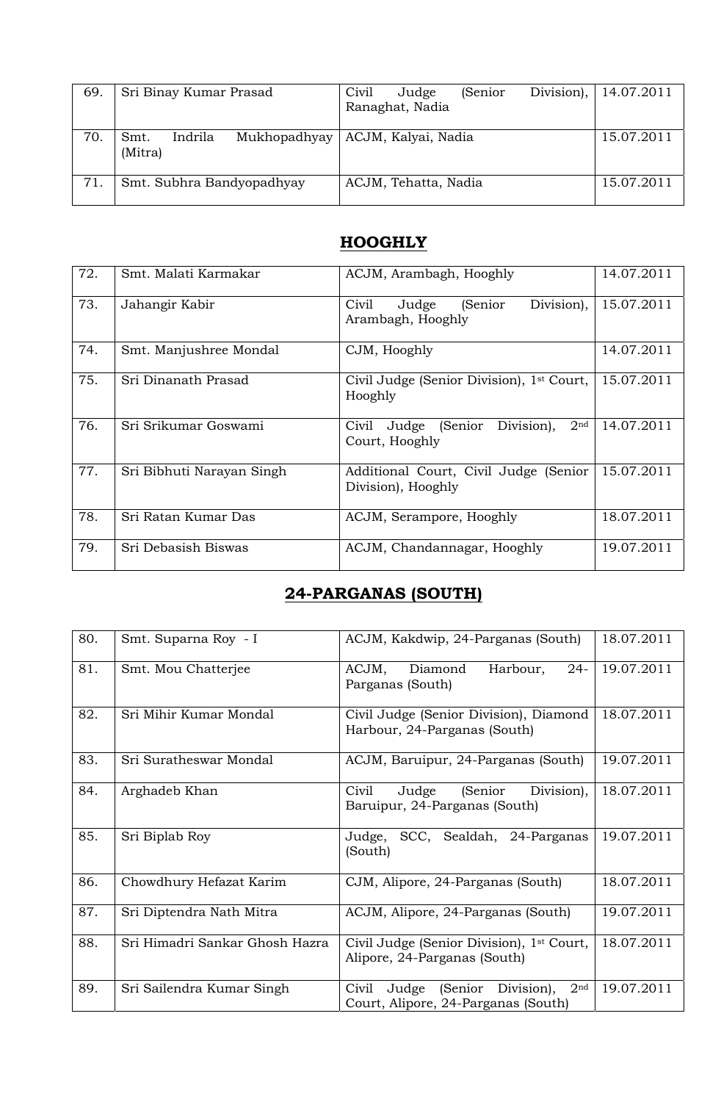| 69. | Sri Binay Kumar Prasad                     | Civil<br>(Senior<br>Judge<br>Ranaghat, Nadia | Division),   14.07.2011 |
|-----|--------------------------------------------|----------------------------------------------|-------------------------|
| 70. | Mukhopadhyay<br>Indrila<br>Smt.<br>(Mitra) | ACJM, Kalyai, Nadia                          | 15.07.2011              |
| 71. | Smt. Subhra Bandyopadhyay                  | ACJM, Tehatta, Nadia                         | 15.07.2011              |

### **HOOGHLY**

| 72. | Smt. Malati Karmakar      | ACJM, Arambagh, Hooghly                                                       | 14.07.2011 |
|-----|---------------------------|-------------------------------------------------------------------------------|------------|
| 73. | Jahangir Kabir            | Division),<br>Judge<br>(Senior<br>Civil<br>Arambagh, Hooghly                  | 15.07.2011 |
| 74. | Smt. Manjushree Mondal    | CJM, Hooghly                                                                  | 14.07.2011 |
| 75. | Sri Dinanath Prasad       | Civil Judge (Senior Division), 1 <sup>st</sup> Court,<br>Hooghly              | 15.07.2011 |
| 76. | Sri Srikumar Goswami      | Division),<br>2 <sup>nd</sup><br>Judge<br>(Senior)<br>Civil<br>Court, Hooghly | 14.07.2011 |
| 77. | Sri Bibhuti Narayan Singh | Additional Court, Civil Judge (Senior<br>Division), Hooghly                   | 15.07.2011 |
| 78. | Sri Ratan Kumar Das       | ACJM, Serampore, Hooghly                                                      | 18.07.2011 |
| 79. | Sri Debasish Biswas       | ACJM, Chandannagar, Hooghly                                                   | 19.07.2011 |

## **24-PARGANAS (SOUTH)**

| 80. | Smt. Suparna Roy - I           | ACJM, Kakdwip, 24-Parganas (South)                                                                | 18.07.2011 |
|-----|--------------------------------|---------------------------------------------------------------------------------------------------|------------|
| 81. | Smt. Mou Chatterjee            | $24-$<br>ACJM,<br>Diamond<br>Harbour,<br>Parganas (South)                                         | 19.07.2011 |
| 82. | Sri Mihir Kumar Mondal         | Civil Judge (Senior Division), Diamond<br>Harbour, 24-Parganas (South)                            | 18.07.2011 |
| 83. | Sri Suratheswar Mondal         | ACJM, Baruipur, 24-Parganas (South)                                                               | 19.07.2011 |
| 84. | Arghadeb Khan                  | Division),<br>(Senior<br>Civil<br>Judge<br>Baruipur, 24-Parganas (South)                          | 18.07.2011 |
| 85. | Sri Biplab Roy                 | SCC, Sealdah, 24-Parganas<br>Judge,<br>(South)                                                    | 19.07.2011 |
| 86. | Chowdhury Hefazat Karim        | CJM, Alipore, 24-Parganas (South)                                                                 | 18.07.2011 |
| 87. | Sri Diptendra Nath Mitra       | ACJM, Alipore, 24-Parganas (South)                                                                | 19.07.2011 |
| 88. | Sri Himadri Sankar Ghosh Hazra | Civil Judge (Senior Division), 1 <sup>st</sup> Court,<br>Alipore, 24-Parganas (South)             | 18.07.2011 |
| 89. | Sri Sailendra Kumar Singh      | Division),<br>2 <sub>nd</sub><br>Civil<br>(Senior<br>Judge<br>Court, Alipore, 24-Parganas (South) | 19.07.2011 |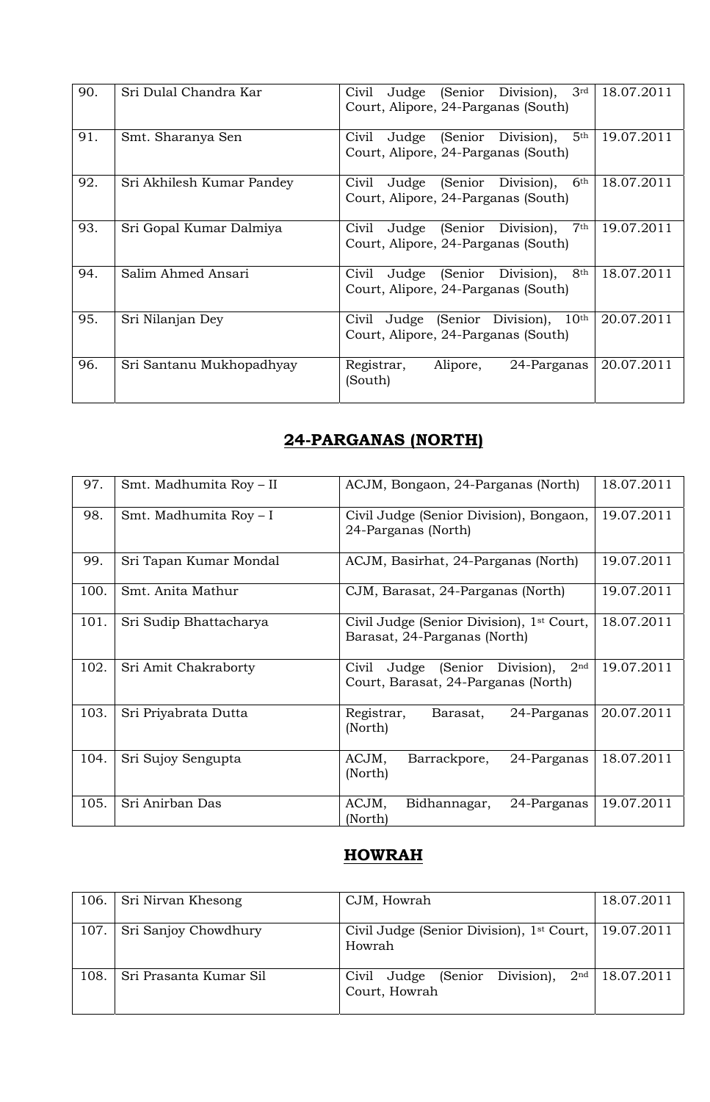| 90. | Sri Dulal Chandra Kar     | 3rd<br>(Senior Division),<br>Civil<br>Judge<br>Court, Alipore, 24-Parganas (South)           | 18.07.2011 |
|-----|---------------------------|----------------------------------------------------------------------------------------------|------------|
| 91. | Smt. Sharanya Sen         | 5 <sup>th</sup><br>Judge (Senior Division),<br>Civil<br>Court, Alipore, 24-Parganas (South)  | 19.07.2011 |
| 92. | Sri Akhilesh Kumar Pandey | 6 <sup>th</sup><br>Civil<br>Judge (Senior Division),<br>Court, Alipore, 24-Parganas (South)  | 18.07.2011 |
| 93. | Sri Gopal Kumar Dalmiya   | 7 <sup>th</sup><br>Judge (Senior Division),<br>Civil<br>Court, Alipore, 24-Parganas (South)  | 19.07.2011 |
| 94. | Salim Ahmed Ansari        | 8 <sup>th</sup><br>Judge (Senior Division),<br>Civil<br>Court, Alipore, 24-Parganas (South)  | 18.07.2011 |
| 95. | Sri Nilanjan Dey          | (Senior Division),<br>$10^{\rm th}$<br>Judge<br>Civil<br>Court, Alipore, 24-Parganas (South) | 20.07.2011 |
| 96. | Sri Santanu Mukhopadhyay  | Registrar,<br>Alipore,<br>24-Parganas<br>(South)                                             | 20.07.2011 |

# **24-PARGANAS (NORTH)**

| 97.  | Smt. Madhumita Roy - II | ACJM, Bongaon, 24-Parganas (North)                                                                | 18.07.2011 |
|------|-------------------------|---------------------------------------------------------------------------------------------------|------------|
| 98.  | Smt. Madhumita Roy - I  | Civil Judge (Senior Division), Bongaon,<br>24-Parganas (North)                                    | 19.07.2011 |
| 99.  | Sri Tapan Kumar Mondal  | ACJM, Basirhat, 24-Parganas (North)                                                               | 19.07.2011 |
| 100. | Smt. Anita Mathur       | CJM, Barasat, 24-Parganas (North)                                                                 | 19.07.2011 |
| 101. | Sri Sudip Bhattacharya  | Civil Judge (Senior Division), 1 <sup>st</sup> Court,<br>Barasat, 24-Parganas (North)             | 18.07.2011 |
| 102. | Sri Amit Chakraborty    | 2 <sup>nd</sup><br>Division),<br>Civil<br>(Senior<br>Judge<br>Court, Barasat, 24-Parganas (North) | 19.07.2011 |
| 103. | Sri Priyabrata Dutta    | Registrar,<br>Barasat,<br>24-Parganas<br>(North)                                                  | 20.07.2011 |
| 104. | Sri Sujoy Sengupta      | ACJM,<br>Barrackpore,<br>24-Parganas<br>(North)                                                   | 18.07.2011 |
| 105. | Sri Anirban Das         | ACJM,<br>Bidhannagar,<br>24-Parganas<br>(North)                                                   | 19.07.2011 |

# **HOWRAH**

| 106. | Sri Nirvan Khesong     | CJM, Howrah                                                                | 18.07.2011 |
|------|------------------------|----------------------------------------------------------------------------|------------|
| 107. | Sri Sanjoy Chowdhury   | Civil Judge (Senior Division), 1 <sup>st</sup> Court, 19.07.2011<br>Howrah |            |
| 108. | Sri Prasanta Kumar Sil | Judge (Senior Division), $2nd$<br>Civil<br>Court, Howrah                   | 18.07.2011 |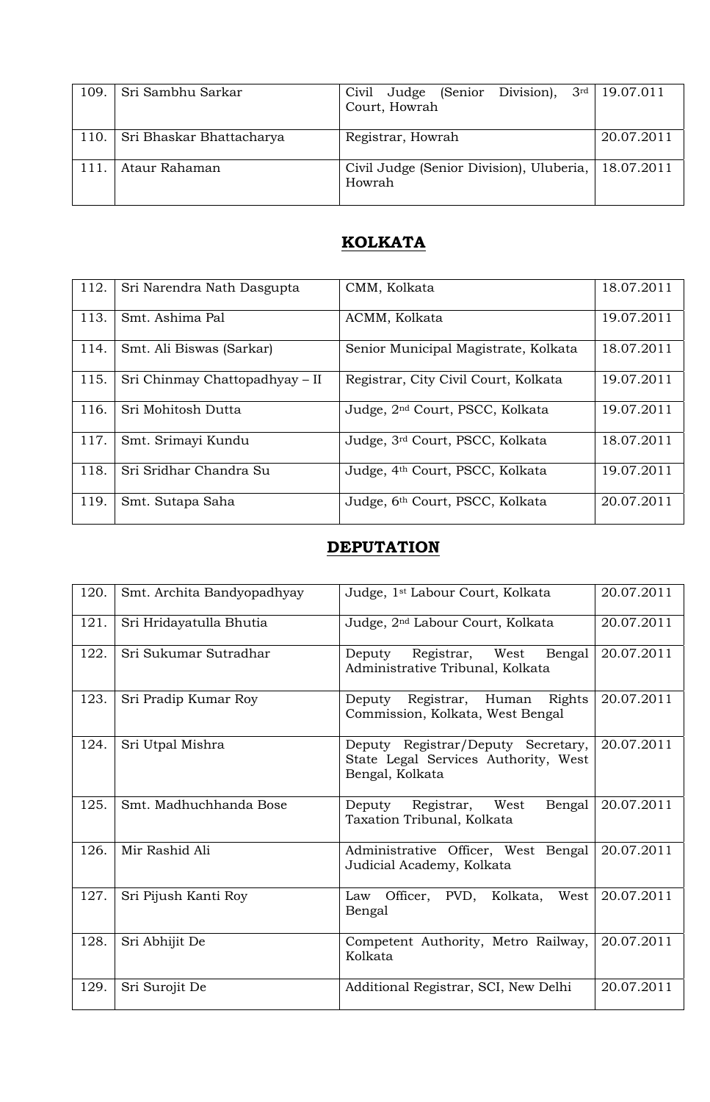| 109. | Sri Sambhu Sarkar        | Civil Judge (Senior Division), 3rd   19.07.011<br>Court, Howrah |            |
|------|--------------------------|-----------------------------------------------------------------|------------|
| 110. | Sri Bhaskar Bhattacharya | Registrar, Howrah                                               | 20.07.2011 |
| 111. | Ataur Rahaman            | Civil Judge (Senior Division), Uluberia,   18.07.2011<br>Howrah |            |

# **KOLKATA**

| 112. | Sri Narendra Nath Dasgupta     | CMM, Kolkata                                | 18.07.2011 |
|------|--------------------------------|---------------------------------------------|------------|
| 113. | Smt. Ashima Pal                | ACMM, Kolkata                               | 19.07.2011 |
| 114. | Smt. Ali Biswas (Sarkar)       | Senior Municipal Magistrate, Kolkata        | 18.07.2011 |
| 115. | Sri Chinmay Chattopadhyay – II | Registrar, City Civil Court, Kolkata        | 19.07.2011 |
| 116. | Sri Mohitosh Dutta             | Judge, 2 <sup>nd</sup> Court, PSCC, Kolkata | 19.07.2011 |
| 117. | Smt. Srimayi Kundu             | Judge, 3rd Court, PSCC, Kolkata             | 18.07.2011 |
| 118. | Sri Sridhar Chandra Su         | Judge, 4 <sup>th</sup> Court, PSCC, Kolkata | 19.07.2011 |
| 119. | Smt. Sutapa Saha               | Judge, 6th Court, PSCC, Kolkata             | 20.07.2011 |

# **DEPUTATION**

| 120. | Smt. Archita Bandyopadhyay | Judge, 1st Labour Court, Kolkata                                                              | 20.07.2011 |
|------|----------------------------|-----------------------------------------------------------------------------------------------|------------|
| 121. | Sri Hridayatulla Bhutia    | Judge, 2 <sup>nd</sup> Labour Court, Kolkata                                                  | 20.07.2011 |
| 122. | Sri Sukumar Sutradhar      | Deputy Registrar, West<br>Bengal<br>Administrative Tribunal, Kolkata                          | 20.07.2011 |
| 123. | Sri Pradip Kumar Roy       | Deputy Registrar, Human Rights<br>Commission, Kolkata, West Bengal                            | 20.07.2011 |
| 124. | Sri Utpal Mishra           | Deputy Registrar/Deputy Secretary,<br>State Legal Services Authority, West<br>Bengal, Kolkata | 20.07.2011 |
| 125. | Smt. Madhuchhanda Bose     | Deputy Registrar, West<br>Bengal<br>Taxation Tribunal, Kolkata                                | 20.07.2011 |
| 126. | Mir Rashid Ali             | Administrative Officer, West Bengal<br>Judicial Academy, Kolkata                              | 20.07.2011 |
| 127. | Sri Pijush Kanti Roy       | Law Officer, PVD, Kolkata, West<br>Bengal                                                     | 20.07.2011 |
| 128. | Sri Abhijit De             | Competent Authority, Metro Railway,<br>Kolkata                                                | 20.07.2011 |
| 129. | Sri Surojit De             | Additional Registrar, SCI, New Delhi                                                          | 20.07.2011 |